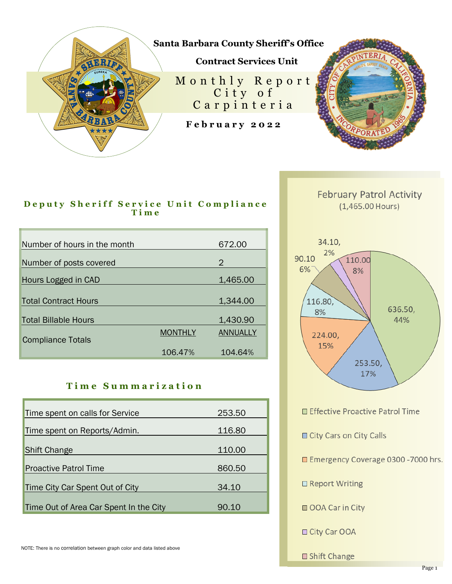

## **Deputy Sheriff Service Unit Compliance T i m e**

| Number of hours in the month |                | 672.00          |
|------------------------------|----------------|-----------------|
| Number of posts covered      |                | 2               |
| Hours Logged in CAD          |                | 1,465.00        |
|                              |                |                 |
| <b>Total Contract Hours</b>  |                | 1,344.00        |
| <b>Total Billable Hours</b>  |                | 1,430.90        |
| <b>Compliance Totals</b>     | <b>MONTHLY</b> | <b>ANNUALLY</b> |
|                              | 106.47%        | 104.64%         |

## **T i m e S u m m a r i z a t i o n**

| Time spent on calls for Service        | 253.50 |
|----------------------------------------|--------|
| Time spent on Reports/Admin.           | 116.80 |
| <b>Shift Change</b>                    | 110.00 |
| <b>Proactive Patrol Time</b>           | 860.50 |
| Time City Car Spent Out of City        | 34.10  |
| Time Out of Area Car Spent In the City | 90.10  |



**February Patrol Activity**  $(1,465.00$  Hours)

□ Effective Proactive Patrol Time

City Cars on City Calls

Emergency Coverage 0300 -7000 hrs.

□ Report Writing

OOA Car in City

□ City Car OOA

□ Shift Change